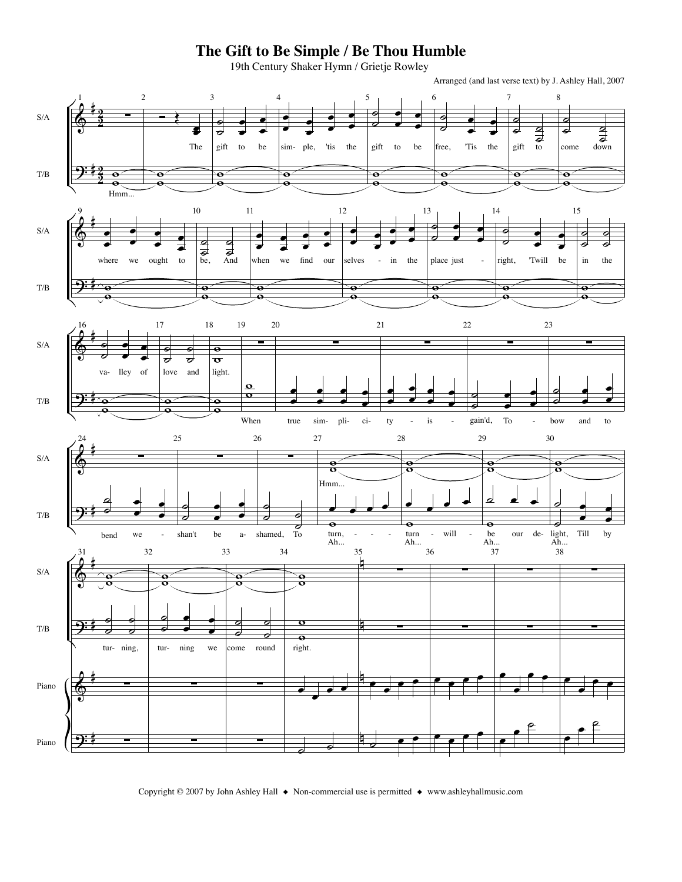## The Gift to Be Simple / Be Thou Humble

19th Century Shaker Hymn / Grietje Rowley

Arranged (and last verse text) by J. Ashley Hall, 2007



Copyright © 2007 by John Ashley Hall ♦ Non-commercial use is permitted ♦ www.ashleyhallmusic.com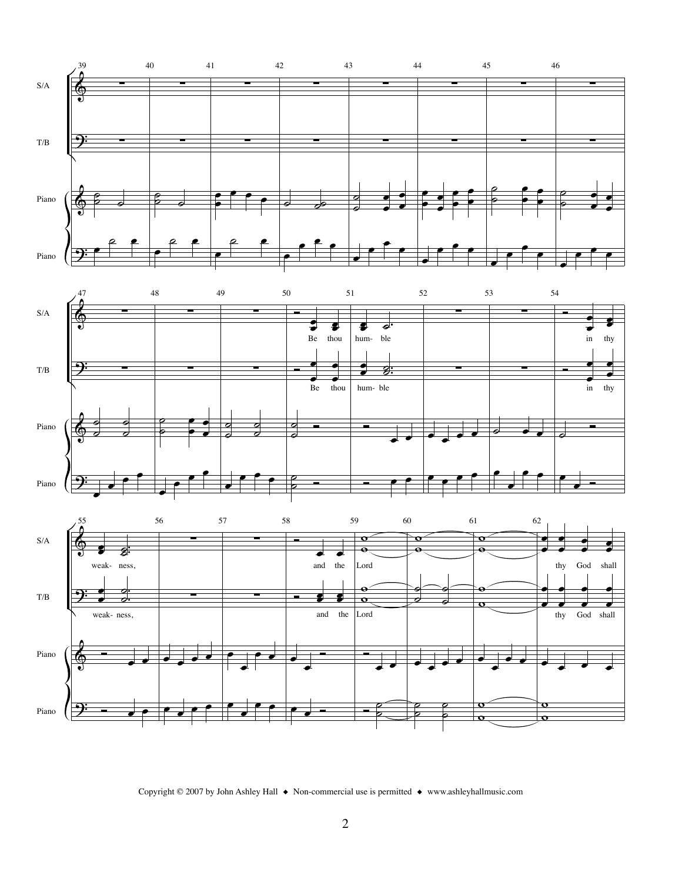

Copyright © 2007 by John Ashley Hall ◆ Non-commercial use is permitted ◆ www.ashleyhallmusic.com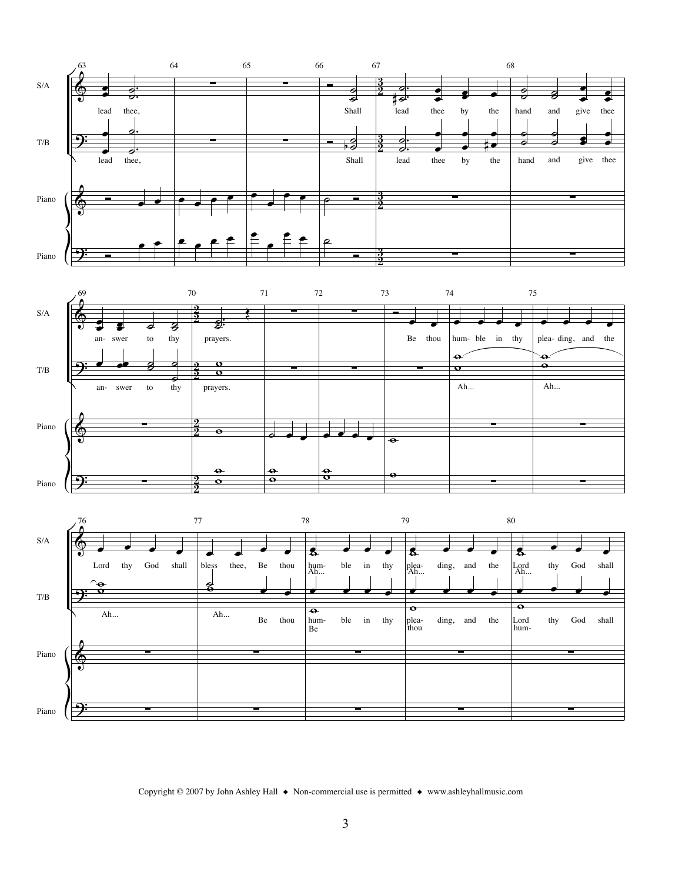

Copyright © 2007 by John Ashley Hall  $\bullet$  Non-commercial use is permitted  $\bullet$  www.ashleyhallmusic.com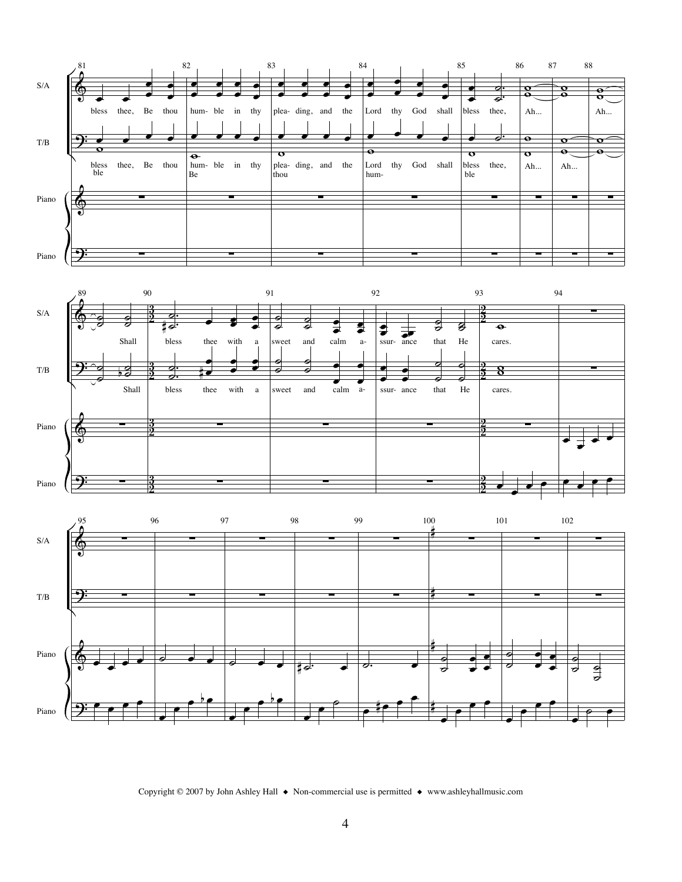

Copyright © 2007 by John Ashley Hall  $\bullet$  Non-commercial use is permitted  $\bullet$  www.ashleyhallmusic.com